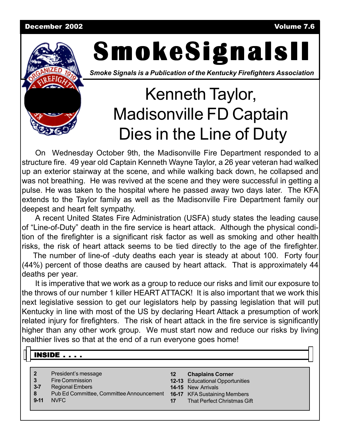#### December 2002 Volume 7.6



# **SmokeSignalsII SmokeSignalsII SmokeSignalsII**

*Smoke Signals is a Publication of the Kentucky Firefighters Association*

## Kenneth Taylor, Madisonville FD Captain Dies in the Line of Duty

On Wednesday October 9th, the Madisonville Fire Department responded to a structure fire. 49 year old Captain Kenneth Wayne Taylor, a 26 year veteran had walked up an exterior stairway at the scene, and while walking back down, he collapsed and was not breathing. He was revived at the scene and they were successful in getting a pulse. He was taken to the hospital where he passed away two days later. The KFA extends to the Taylor family as well as the Madisonville Fire Department family our deepest and heart felt sympathy.

A recent United States Fire Administration (USFA) study states the leading cause of "Line-of-Duty" death in the fire service is heart attack. Although the physical condition of the firefighter is a significant risk factor as well as smoking and other health risks, the risk of heart attack seems to be tied directly to the age of the firefighter.

The number of line-of -duty deaths each year is steady at about 100. Forty four (44%) percent of those deaths are caused by heart attack. That is approximately 44 deaths per year.

It is imperative that we work as a group to reduce our risks and limit our exposure to the throws of our number 1 killer HEART ATTACK! It is also important that we work this next legislative session to get our legislators help by passing legislation that will put Kentucky in line with most of the US by declaring Heart Attack a presumption of work related injury for firefighters. The risk of heart attack in the fire service is significantly higher than any other work group. We must start now and reduce our risks by living healthier lives so that at the end of a run everyone goes home!

#### $\overline{\mathsf{INSIDE}}$  . . . .

- **2** President's message
- **3** Fire Commission
- **3-7** Regional Embers
- **8** Pub Ed Committee, Committee Announcement **16-17** KFA Sustaining Members
- **9-11** NVFC
- **12 Chaplains Corner**
- **12-13** Educational Opportunities
- **14-15** New Arrivals
- **17** That Perfect Christmas Gift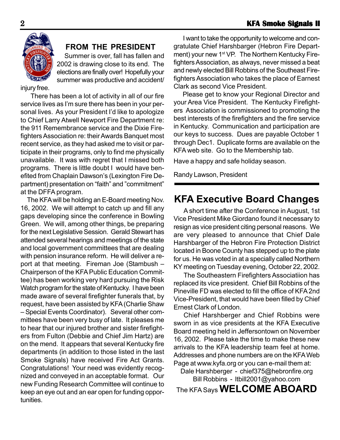

#### **FROM THE PRESIDENT**

 Summer is over, fall has fallen and 2002 is drawing close to its end. The elections are finally over! Hopefully your summer was productive and accident/

injury free.

There has been a lot of activity in all of our fire service lives as I'm sure there has been in your personal lives. As your President I'd like to apologize to Chief Larry Atwell Newport Fire Department re: the 911 Remembrance service and the Dixie Firefighters Association re: their Awards Banquet most recent service, as they had asked me to visit or participate in their programs, only to find me physically unavailable. It was with regret that I missed both programs. There is little doubt I would have benefited from Chaplain Dawson's (Lexington Fire Department) presentation on "faith" and "commitment" at the DFFA program.

 The KFA will be holding an E-Board meeting Nov. 16, 2002. We will attempt to catch up and fill any gaps developing since the conference in Bowling Green. We will, among other things, be preparing for the next Legislative Session. Gerald Stewart has attended several hearings and meetings of the state and local government committees that are dealing with pension insurance reform. He will deliver a report at that meeting. Fireman Joe (Stambush – Chairperson of the KFA Public Education Committee) has been working very hard pursuing the Risk Watch program for the state of Kentucky. I have been made aware of several firefighter funerals that, by request, have been assisted by KFA (Charlie Shaw – Special Events Coordinator). Several other committees have been very busy of late. It pleases me to hear that our injured brother and sister firefighters from Fulton (Debbie and Chief Jim Hartz) are on the mend. It appears that several Kentucky fire departments (in addition to those listed in the last Smoke Signals) have received Fire Act Grants. Congratulations! Your need was evidently recognized and conveyed in an acceptable format. Our new Funding Research Committee will continue to keep an eye out and an ear open for funding opportunities.

I want to take the opportunity to welcome and congratulate Chief Harshbarger (Hebron Fire Department) your new 1<sup>st</sup> VP. The Northern Kentucky Firefighters Association, as always, never missed a beat and newly elected Bill Robbins of the Southeast Firefighters Association who takes the place of Earnest Clark as second Vice President.

 Please get to know your Regional Director and your Area Vice President. The Kentucky Firefighters Association is commissioned to promoting the best interests of the firefighters and the fire service in Kentucky. Communication and participation are our keys to success. Dues are payable October 1 through Dec1. Duplicate forms are available on the KFA web site. Go to the Membership tab.

Have a happy and safe holiday season.

Randy Lawson, President

## **KFA Executive Board Changes**

A short time after the Conference in August, 1st Vice President Mike Giordano found it necessary to resign as vice president citing personal reasons. We are very pleased to announce that Chief Dale Harshbarger of the Hebron Fire Protection District located in Boone County has stepped up to the plate for us. He was voted in at a specially called Northern KY meeting on Tuesday evening, October 22, 2002.

The Southeastern Firefighters Associatiion has replaced its vice president. Chief Bill Robbins of the Pineville FD was elected to fill the office of KFA 2nd Vice-President, that would have been filled by Chief Ernest Clark of London.

Chief Harshberger and Chief Robbins were sworn in as vice presidents at the KFA Executive Board meeting held in Jeffersontown on November 16, 2002. Please take the time to make these new arrivals to the KFA leadership team feel at home. Addresses and phone numbers are on the KFA Web Page at www.kyfa.org or you can e-mail them at:

Dale Harshberger - chief375@hebronfire.org Bill Robbins - ltbill2001@yahoo.com The KFA Says **WELCOME ABOARD**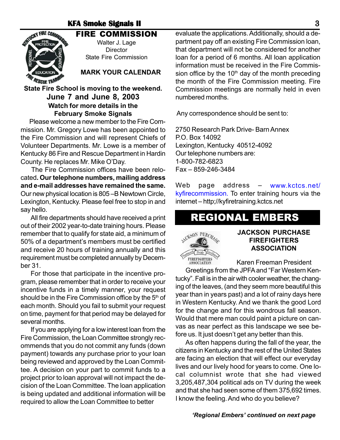#### **KFA Smoke Signals II** 3



#### FIRE COMMISSION Walter J. Lage **Director**

State Fire Commission

**MARK YOUR CALENDAR**

#### **State Fire School is moving to the weekend. June 7 and June 8, 2003 Watch for more details in the February Smoke Signals**

Please welcome a new member to the Fire Commission. Mr. Gregory Lowe has been appointed to the Fire Commission and will represent Chiefs of Volunteer Departments. Mr. Lowe is a member of Kentucky 86 Fire and Rescue Department in Hardin County. He replaces Mr. Mike O'Day.

The Fire Commission offices have been relocated**. Our telephone numbers, mailing address and e-mail addresses have remained the same.** Our new physical location is 805 –B Newtown Circle, Lexington, Kentucky. Please feel free to stop in and say hello.

All fire departments should have received a print out of their 2002 year-to-date training hours. Please remember that to qualify for state aid, a minimum of 50% of a department's members must be certified and receive 20 hours of training annually and this requirement must be completed annually by December 31.

For those that participate in the incentive program, please remember that in order to receive your incentive funds in a timely manner, your request should be in the Fire Commission office by the  $5<sup>th</sup>$  of each month. Should you fail to submit your request on time, payment for that period may be delayed for several months.

If you are applying for a low interest loan from the Fire Commission, the Loan Committee strongly recommends that you do not commit any funds (down payment) towards any purchase prior to your loan being reviewed and approved by the Loan Committee. A decision on your part to commit funds to a project prior to loan approval will not impact the decision of the Loan Committee. The loan application is being updated and additional information will be required to allow the Loan Committee to better

evaluate the applications. Additionally, should a department pay off an existing Fire Commission loan, that department will not be considered for another loan for a period of 6 months. All loan application information must be received in the Fire Commission office by the  $10<sup>th</sup>$  day of the month preceding the month of the Fire Commission meeting. Fire Commission meetings are normally held in even numbered months.

Any correspondence should be sent to:

2750 Research Park Drive- Barn Annex P.O. Box 14092 Lexington, Kentucky 40512-4092 Our telephone numbers are: 1-800-782-6823 Fax – 859-246-3484

Web page address – www.kctcs.net/ kyfirecommission. To enter training hours via the internet – http;//kyfiretraining.kctcs.net

## REGIONAL EMBERS



#### **JACKSON PURCHASE FIREFIGHTERS ASSOCIATION**

Karen Freeman President

Greetings from the JPFA and "Far Western Kentucky". Fall is in the air with cooler weather, the changing of the leaves, (and they seem more beautiful this year than in years past) and a lot of rainy days here in Western Kentucky. And we thank the good Lord for the change and for this wondrous fall season. Would that mere man could paint a picture on canvas as near perfect as this landscape we see before us. It just doesn't get any better than this.

As often happens during the fall of the year, the citizens in Kentucky and the rest of the United States are facing an election that will effect our everyday lives and our lively hood for years to come. One local columnist wrote that she had viewed 3,205,487,304 political ads on TV during the week and that she had seen some of them 375,692 times. I know the feeling. And who do you believe?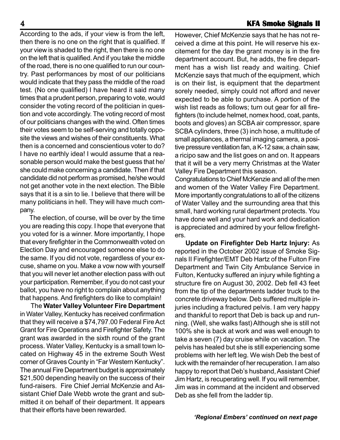According to the ads, if your view is from the left, then there is no one on the right that is qualified. If your view is shaded to the right, then there is no one on the left that is qualified. And if you take the middle of the road, there is no one qualified to run our country. Past performances by most of our politicians would indicate that they pass the middle of the road test. (No one qualified) I have heard it said many times that a prudent person, preparing to vote, would consider the voting record of the politician in question and vote accordingly. The voting record of most of our politicians changes with the wind. Often times their votes seem to be self-serving and totally opposite the views and wishes of their constituents. What then is a concerned and conscientious voter to do? I have no earthly idea! I would assume that a reasonable person would make the best guess that he/ she could make concerning a candidate. Then if that candidate did not perform as promised, he/she would not get another vote in the next election. The Bible says that it is a sin to lie. I believe that there will be many politicians in hell. They will have much company.

The election, of course, will be over by the time you are reading this copy. I hope that everyone that you voted for is a winner. More importantly, I hope that every firefighter in the Commonwealth voted on Election Day and encouraged someone else to do the same. If you did not vote, regardless of your excuse, shame on you. Make a vow now with yourself that you will never let another election pass with out your participation. Remember, if you do not cast your ballot, you have no right to complain about anything that happens. And firefighters do like to complain!

The **Water Valley Volunteer Fire Department** in Water Valley, Kentucky has received confirmation that they will receive a \$74,797.00 Federal Fire Act Grant for Fire Operations and Firefighter Safety. The grant was awarded in the sixth round of the grant process. Water Valley, Kentucky is a small town located on Highway 45 in the extreme South West corner of Graves County in "Far Western Kentucky". The annual Fire Department budget is approximately \$21,500 depending heavily on the success of their fund-raisers. Fire Chief Jerrial McKenzie and Assistant Chief Dale Webb wrote the grant and submitted it on behalf of their department. It appears that their efforts have been rewarded.

However, Chief McKenzie says that he has not received a dime at this point. He will reserve his excitement for the day the grant money is in the fire department account. But, he adds, the fire department has a wish list ready and waiting. Chief McKenzie says that much of the equipment, which is on their list, is equipment that the department sorely needed, simply could not afford and never expected to be able to purchase. A portion of the wish list reads as follows; turn out gear for all firefighters (to include helmet, nomex hood, coat, pants, boots and gloves) an SCBA air compressor, spare SCBA cylinders, three (3) inch hose, a multitude of small appliances, a thermal imaging camera, a positive pressure ventilation fan, a K-12 saw, a chain saw, a ricipo saw and the list goes on and on. It appears that it will be a very merry Christmas at the Water Valley Fire Department this season.

Congratulations to Chief McKenzie and all of the men and women of the Water Valley Fire Department. More importantly congratulations to all of the citizens of Water Valley and the surrounding area that this small, hard working rural department protects. You have done well and your hard work and dedication is appreciated and admired by your fellow firefighters.

**Update on Firefighter Deb Hartz Injury:** As reported in the October 2002 issue of Smoke Signals II Firefighter/EMT Deb Hartz of the Fulton Fire Department and Twin City Ambulance Service in Fulton, Kentucky suffered an injury while fighting a structure fire on August 30, 2002. Deb fell 43 feet from the tip of the departments ladder truck to the concrete driveway below. Deb suffered multiple injuries including a fractured pelvis. I am very happy and thankful to report that Deb is back up and running. (Well, she walks fast) Although she is still not 100% she is back at work and was well enough to take a seven (7) day cruise while on vacation. The pelvis has healed but she is still experiencing some problems with her left leg. We wish Deb the best of luck with the remainder of her recuperation. I am also happy to report that Deb's husband, Assistant Chief Jim Hartz, is recuperating well. If you will remember, Jim was in command at the incident and observed Deb as she fell from the ladder tip.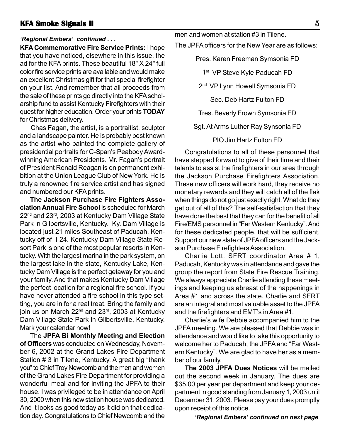#### **KFA Smoke Signals II KFA Signals II** 5

#### *'Regional Embers' continued . . .*

**KFA Commemorative Fire Service Prints:** I hope that you have noticed, elsewhere in this issue, the ad for the KFA prints. These beautiful 18" X 24" full color fire service prints are available and would make an excellent Christmas gift for that special firefighter on your list. And remember that all proceeds from the sale of these prints go directly into the KFA scholarship fund to assist Kentucky Firefighters with their quest for higher education. Order your prints **TODAY** for Christmas delivery.

Chas Fagan, the artist, is a portraitist, sculptor and a landscape painter. He is probably best known as the artist who painted the complete gallery of presidential portraits for C-Span's Peabody Awardwinning American Presidents. Mr. Fagan's portrait of President Ronald Reagan is on permanent exhibition at the Union League Club of New York. He is truly a renowned fire service artist and has signed and numbered our KFA prints.

**The Jackson Purchase Fire Fighters Association Annual Fire School** is scheduled for March 22<sup>nd</sup> and 23<sup>rd</sup>, 2003 at Kentucky Dam Village State Park in Gilbertsville, Kentucky. Ky. Dam Village is located just 21 miles Southeast of Paducah, Kentucky off of I-24. Kentucky Dam Village State Resort Park is one of the most popular resorts in Kentucky. With the largest marina in the park system, on the largest lake in the state, Kentucky Lake, Kentucky Dam Village is the perfect getaway for you and your family. And that makes Kentucky Dam Village the perfect location for a regional fire school. If you have never attended a fire school in this type setting, you are in for a real treat. Bring the family and join us on March 22<sup>nd</sup> and 23<sup>rd</sup>, 2003 at Kentucky Dam Village State Park in Gilbertsville, Kentucky. Mark your calendar now!

The **JPFA Bi Monthly Meeting and Election of Officers** was conducted on Wednesday, November 6, 2002 at the Grand Lakes Fire Department Station # 3 in Tilene, Kentucky. A great big "thank you" to Chief Troy Newcomb and the men and women of the Grand Lakes Fire Department for providing a wonderful meal and for inviting the JPFA to their house. I was privileged to be in attendance on April 30, 2000 when this new station house was dedicated. And it looks as good today as it did on that dedication day. Congratulations to Chief Newcomb and the

men and women at station #3 in Tilene.

The JPFA officers for the New Year are as follows:

Pres. Karen Freeman Symsonia FD

1<sup>st</sup> VP Steve Kyle Paducah FD

2<sup>nd</sup> VP Lynn Howell Symsonia FD

Sec. Deb Hartz Fulton FD

Tres. Beverly Frown Symsonia FD

Sgt. At Arms Luther Ray Synsonia FD

PIO Jim Hartz Fulton FD

Congratulations to all of these personnel that have stepped forward to give of their time and their talents to assist the firefighters in our area through the Jackson Purchase Firefighters Association. These new officers will work hard, they receive no monetary rewards and they will catch all of the flak when things do not go just exactly right. What do they get out of all of this? The self-satisfaction that they have done the best that they can for the benefit of all Fire/EMS personnel in "Far Western Kentucky". And for these dedicated people, that will be sufficient. Support our new slate of JPFA officers and the Jackson Purchase Firefighters Association.

Charlie Lott, SFRT coordinator Area # 1, Paducah, Kentucky was in attendance and gave the group the report from State Fire Rescue Training. We always appreciate Charlie attending these meetings and keeping us abreast of the happenings in Area #1 and across the state. Charlie and SFRT are an integral and most valuable asset to the JPFA and the firefighters and EMT's in Area #1.

Charlie's wife Debbie accompanied him to the JPFA meeting. We are pleased that Debbie was in attendance and would like to take this opportunity to welcome her to Paducah, the JPFA and "Far Western Kentucky". We are glad to have her as a member of our family.

**The 2003 JPFA Dues Notices** will be mailed out the second week in January. The dues are \$35.00 per year per department and keep your department in good standing from January 1, 2003 until December 31, 2003. Please pay your dues promptly upon receipt of this notice.

*'Regional Embers' continued on next page*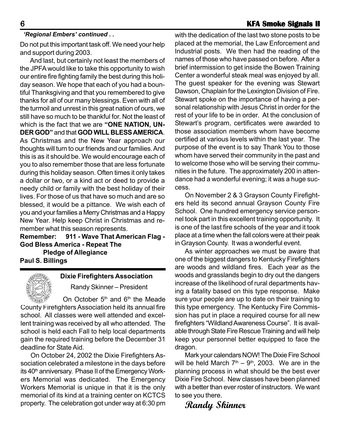#### *'Regional Embers' continued . .*

Do not put this important task off. We need your help and support during 2003.

And last, but certainly not least the members of the JPFA would like to take this opportunity to wish our entire fire fighting family the best during this holiday season. We hope that each of you had a bountiful Thanksgiving and that you remembered to give thanks for all of our many blessings. Even with all of the turmoil and unrest in this great nation of ours, we still have so much to be thankful for. Not the least of which is the fact that we are **"ONE NATION, UN-DER GOD"** and that **GOD WILL BLESS AMERICA**. As Christmas and the New Year approach our thoughts will turn to our friends and our families. And this is as it should be. We would encourage each of you to also remember those that are less fortunate during this holiday season. Often times it only takes a dollar or two, or a kind act or deed to provide a needy child or family with the best holiday of their lives. For those of us that have so much and are so blessed, it would be a pittance. We wish each of you and your families a Merry Christmas and a Happy New Year. Help keep Christ in Christmas and remember what this season represents.

**Remember: 911 - Wave That American Flag - God Bless America - Repeat The Pledge of Allegiance Paul S. Billings**

#### **Dixie Firefighters Association**

Randy Skinner – President

On October 5<sup>th</sup> and 6<sup>th</sup> the Meade County Firefighters Association held its annual fire school. All classes were well attended and excellent training was received by all who attended. The school is held each Fall to help local departments gain the required training before the December 31 deadline for State Aid.

On October 24, 2002 the Dixie Firefighters Association celebrated a milestone in the days before its 40<sup>th</sup> anniversary. Phase II of the Emergency Workers Memorial was dedicated. The Emergency Workers Memorial is unique in that it is the only memorial of its kind at a training center on KCTCS property. The celebration got under way at 6:30 pm with the dedication of the last two stone posts to be placed at the memorial, the Law Enforcement and Industrial posts. We then had the reading of the names of those who have passed on before. After a brief intermission to get inside the Bowen Training Center a wonderful steak meal was enjoyed by all. The guest speaker for the evening was Stewart Dawson, Chaplain for the Lexington Division of Fire. Stewart spoke on the importance of having a personal relationship with Jesus Christ in order for the rest of your life to be in order. At the conclusion of Stewart's program, certificates were awarded to those association members whom have become certified at various levels within the last year. The purpose of the event is to say Thank You to those whom have served their community in the past and to welcome those who will be serving their communities in the future. The approximately 200 in attendance had a wonderful evening; it was a huge success.

On November 2 & 3 Grayson County Firefighters held its second annual Grayson County Fire School. One hundred emergency service personnel took part in this excellent training opportunity. It is one of the last fire schools of the year and it took place at a time when the fall colors were at their peak in Grayson County. It was a wonderful event.

As winter approaches we must be aware that one of the biggest dangers to Kentucky Firefighters are woods and wildland fires. Each year as the woods and grasslands begin to dry out the dangers increase of the likelihood of rural departments having a fatality based on this type response. Make sure your people are up to date on their training to this type emergency. The Kentucky Fire Commission has put in place a required course for all new firefighters "Wildland Awareness Course". It is available through State Fire Rescue Training and will help keep your personnel better equipped to face the dragon.

Mark your calendars NOW! The Dixie Fire School will be held March  $7<sup>th</sup> - 9<sup>th</sup>$ , 2003. We are in the planning process in what should be the best ever Dixie Fire School. New classes have been planned with a better than ever roster of instructors. We want to see you there.

**Randy Skinner**

## 6 **KFA Smoke Signals II KFA Signals II**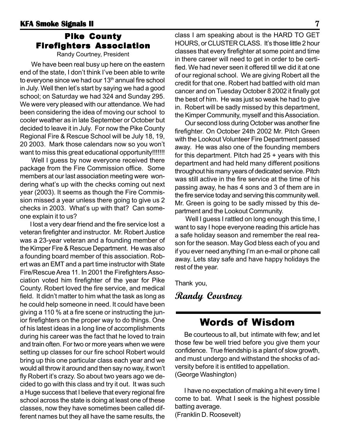### Pike County Firefighters Association

Randy Courtney, President

We have been real busy up here on the eastern end of the state, I don't think I've been able to write to everyone since we had our  $13<sup>th</sup>$  annual fire school in July. Well then let's start by saying we had a good school; on Saturday we had 324 and Sunday 295. We were very pleased with our attendance. We had been considering the idea of moving our school to cooler weather as in late September or October but decided to leave it in July. For now the Pike County Regional Fire & Rescue School will be July 18, 19, 20 2003. Mark those calendars now so you won't want to miss this great educational opportunity!!!!!!!

Well I guess by now everyone received there package from the Fire Commission office. Some members at our last association meeting were wondering what's up with the checks coming out next year (2003). It seems as though the Fire Commission missed a year unless there going to give us 2 checks in 2003. What's up with that? Can someone explain it to us?

I lost a very dear friend and the fire service lost a veteran firefighter and instructor. Mr. Robert Justice was a 23-year veteran and a founding member of the Kimper Fire & Rescue Department. He was also a founding board member of this association. Robert was an EMT and a part time instructor with State Fire/Rescue Area 11. In 2001 the Firefighters Association voted him firefighter of the year for Pike County. Robert loved the fire service, and medical field. It didn't matter to him what the task as long as he could help someone in need. It could have been giving a 110 % at a fire scene or instructing the junior firefighters on the proper way to do things. One of his latest ideas in a long line of accomplishments during his career was the fact that he loved to train and train often. For two or more years when we were setting up classes for our fire school Robert would bring up this one particular class each year and we would all throw it around and then say no way, it won't fly Robert it's crazy. So about two years ago we decided to go with this class and try it out. It was such a Huge success that I believe that every regional fire school across the state is doing at least one of these classes, now they have sometimes been called different names but they all have the same results, the

class I am speaking about is the HARD TO GET HOURS, or CLUSTER CLASS. It's those little 2 hour classes that every firefighter at some point and time in there career will need to get in order to be certified. We had never seen it offered till we did it at one of our regional school. We are giving Robert all the credit for that one. Robert had battled with old man cancer and on Tuesday October 8 2002 it finally got the best of him. He was just so weak he had to give in. Robert will be sadly missed by this department, the Kimper Community, myself and this Association.

Our second loss during October was another fine firefighter. On October 24th 2002 Mr. Pitch Green with the Lookout Volunteer Fire Department passed away. He was also one of the founding members for this department. Pitch had  $25 + \gamma$  years with this department and had held many different positions throughout his many years of dedicated service. Pitch was still active in the fire service at the time of his passing away, he has 4 sons and 3 of them are in the fire service today and serving this community well. Mr. Green is going to be sadly missed by this department and the Lookout Community.

Well I guess I rattled on long enough this time, I want to say I hope everyone reading this article has a safe holiday season and remember the real reason for the season. May God bless each of you and if you ever need anything I'm an e-mail or phone call away. Lets stay safe and have happy holidays the rest of the year.

Thank you,

**Randy Courtney**

## Words of Wisdom

Be courteous to all, but intimate with few; and let those few be well tried before you give them your confidence. True friendship is a plant of slow growth, and must undergo and withstand the shocks of adversity before it is entitled to appellation. (George Washington)

I have no expectation of making a hit every time I come to bat. What I seek is the highest possible batting average. (Franklin D. Roosevelt)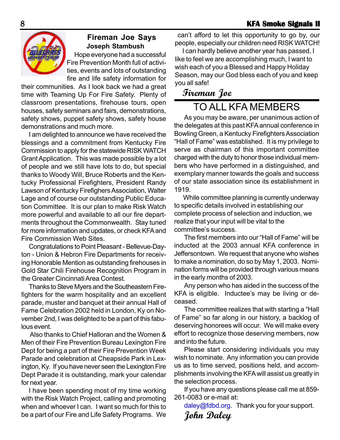

## **Fireman Joe Says Joseph Stambush**

Hope everyone had a successful Fire Prevention Month full of activities, events and lots of outstanding fire and life safety information for

their communities. As I look back we had a great time with Teaming Up For Fire Safety. Plenty of classroom presentations, firehouse tours, open houses, safety seminars and fairs, demonstrations, safety shows, puppet safety shows, safety house demonstrations and much more.

I am delighted to announce we have received the blessings and a commitment from Kentucky Fire Commission to apply for the statewide RISK WATCH Grant Application. This was made possible by a lot of people and we still have lots to do, but special thanks to Woody Will, Bruce Roberts and the Kentucky Professional Firefighters, President Randy Lawson of Kentucky Firefighers Association, Walter Lage and of course our outstanding Public Education Committee. It is our plan to make Risk Watch more powerful and available to all our fire departments throughout the Commonwealth. Stay tuned for more information and updates, or check KFA and Fire Commission Web Sites.

Congratulations to Point Pleasant - Bellevue-Dayton - Union & Hebron Fire Departments for receiving Honorable Mention as outstanding firehouses in Gold Star Chili Firehouse Recognition Program in the Greater Cincinnati Area Contest.

Thanks to Steve Myers and the Southeastern Firefighters for the warm hospitality and an excellent parade, muster and banquet at their annual Hall of Fame Celebration 2002 held in London, Ky on November 2nd, I was delighted to be a part of this fabulous event.

 Also thanks to Chief Halloran and the Women & Men of their Fire Prevention Bureau Lexington Fire Dept for being a part of their Fire Prevention Week Parade and celebration at Cheapside Park in Lexington, Ky. If you have never seen the Lexington Fire Dept Parade it is outstanding, mark your calendar for next year.

I have been spending most of my time working with the Risk Watch Project, calling and promoting when and whoever I can. I want so much for this to be a part of our Fire and Life Safety Programs. We

 can't afford to let this opportunity to go by, our people, especially our children need RISK WATCH!

I can hardly believe another year has passed, I like to feel we are accomplishing much, I want to wish each of you a Blessed and Happy Holiday Season, may our God bless each of you and keep you all safe!

## **Fireman Joe**

## TO ALL KFA MEMBERS

As you may be aware, per unanimous action of the delegates at this past KFA annual conference in Bowling Green, a Kentucky Firefighters Association "Hall of Fame" was established. It is my privilege to serve as chairman of this important committee charged with the duty to honor those individual members who have performed in a distinguished, and exemplary manner towards the goals and success of our state association since its establishment in 1919.

 While committee planning is currently underway to specific details involved in establishing our complete process of selection and induction, we realize that your input will be vital to the committee's success.

The first members into our "Hall of Fame" will be inducted at the 2003 annual KFA conference in Jeffersontown. We request that anyone who wishes to make a nomination, do so by May 1, 2003. Nomination forms will be provided through various means in the early months of 2003.

Any person who has aided in the success of the KFA is eligible. Inductee's may be living or deceased.

The committee realizes that with starting a "Hall of Fame" so far along in our history, a backlog of deserving honorees will occur. We will make every effort to recognize those deserving members, now and into the future.

Please start considering individuals you may wish to nominate. Any information you can provide us as to time served, positions held, and accomplishments involving the KFA will assist us greatly in the selection process.

If you have any questions please call me at 859- 261-0083 or e-mail at:

daley@fdbd.org. Thank you for your support. **John Daley**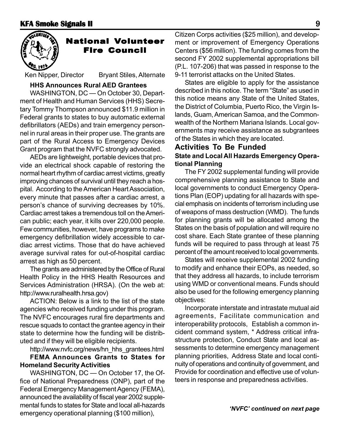

## **National Volunteer** Fire Council Fire Council

Ken Nipper, Director Bryant Stiles, Alternate

#### **HHS Announces Rural AED Grantees**

WASHINGTON, DC — On October 30, Department of Health and Human Services (HHS) Secretary Tommy Thompson announced \$11.9 million in Federal grants to states to buy automatic external defibrillators (AEDs) and train emergency personnel in rural areas in their proper use. The grants are part of the Rural Access to Emergency Devices Grant program that the NVFC strongly advocated.

AEDs are lightweight, portable devices that provide an electrical shock capable of restoring the normal heart rhythm of cardiac arrest victims, greatly improving chances of survival until they reach a hospital. According to the American Heart Association, every minute that passes after a cardiac arrest, a person's chance of surviving decreases by 10%. Cardiac arrest takes a tremendous toll on the American public; each year, it kills over 220,000 people. Few communities, however, have programs to make emergency defibrillation widely accessible to cardiac arrest victims. Those that do have achieved average survival rates for out-of-hospital cardiac arrest as high as 50 percent.

The grants are administered by the Office of Rural Health Policy in the HHS Health Resources and Services Administration (HRSA). (On the web at: http://www.ruralhealth.hrsa.gov)

ACTION: Below is a link to the list of the state agencies who received funding under this program. The NVFC encourages rural fire departments and rescue squads to contact the grantee agency in their state to determine how the funding will be distributed and if they will be eligible recipients.

#### http://www.nvfc.org/news/hn\_hhs\_grantees.html **FEMA Announces Grants to States for Homeland Security Activities**

WASHINGTON, DC — On October 17, the Office of National Preparedness (ONP), part of the Federal Emergency Management Agency (FEMA), announced the availability of fiscal year 2002 supplemental funds to states for State and local all-hazards emergency operational planning (\$100 million),

Citizen Corps activities (\$25 million), and development or improvement of Emergency Operations Centers (\$56 million). The funding comes from the second FY 2002 supplemental appropriations bill (P.L. 107-206) that was passed in response to the 9-11 terrorist attacks on the United States.

States are eligible to apply for the assistance described in this notice. The term "State" as used in this notice means any State of the United States, the District of Columbia, Puerto Rico, the Virgin Islands, Guam, American Samoa, and the Commonwealth of the Northern Mariana Islands. Local governments may receive assistance as subgrantees of the States in which they are located.

#### **Activities To Be Funded State and Local All Hazards Emergency Operational Planning**

The FY 2002 supplemental funding will provide comprehensive planning assistance to State and local governments to conduct Emergency Operations Plan (EOP) updating for all hazards with special emphasis on incidents of terrorism including use of weapons of mass destruction (WMD). The funds for planning grants will be allocated among the States on the basis of population and will require no cost share. Each State grantee of these planning funds will be required to pass through at least 75 percent of the amount received to local governments.

States will receive supplemental 2002 funding to modify and enhance their EOPs, as needed, so that they address all hazards, to include terrorism using WMD or conventional means. Funds should also be used for the following emergency planning objectives:

Incorporate interstate and intrastate mutual aid agreements, Facilitate communication and interoperability protocols, Establish a common incident command system, \* Address critical infrastructure protection, Conduct State and local assessments to determine emergency management planning priorities, Address State and local continuity of operations and continuity of government, and Provide for coordination and effective use of volunteers in response and preparedness activities.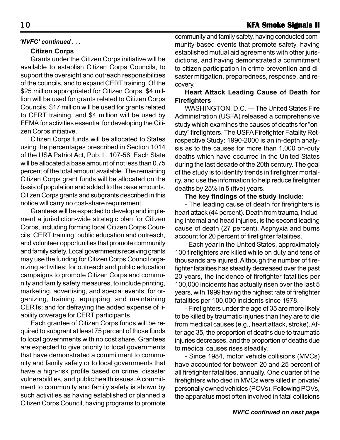#### *'NVFC' continued . . .*

#### **Citizen Corps**

Grants under the Citizen Corps initiative will be available to establish Citizen Corps Councils, to support the oversight and outreach responsibilities of the councils, and to expand CERT training. Of the \$25 million appropriated for Citizen Corps, \$4 million will be used for grants related to Citizen Corps Councils, \$17 million will be used for grants related to CERT training, and \$4 million will be used by FEMA for activities essential for developing the Citizen Corps initiative.

Citizen Corps funds will be allocated to States using the percentages prescribed in Section 1014 of the USA Patriot Act, Pub. L. 107-56. Each State will be allocated a base amount of not less than 0.75 percent of the total amount available. The remaining Citizen Corps grant funds will be allocated on the basis of population and added to the base amounts. Citizen Corps grants and subgrants described in this notice will carry no cost-share requirement.

Grantees will be expected to develop and implement a jurisdiction-wide strategic plan for Citizen Corps, including forming local Citizen Corps Councils, CERT training, public education and outreach, and volunteer opportunities that promote community and family safety. Local governments receiving grants may use the funding for Citizen Corps Council organizing activities; for outreach and public education campaigns to promote Citizen Corps and community and family safety measures, to include printing, marketing, advertising, and special events; for organizing, training, equipping, and maintaining CERTs; and for defraying the added expense of liability coverage for CERT participants.

Each grantee of Citizen Corps funds will be required to subgrant at least 75 percent of those funds to local governments with no cost share. Grantees are expected to give priority to local governments that have demonstrated a commitment to community and family safety or to local governments that have a high-risk profile based on crime, disaster vulnerabilities, and public health issues. A commitment to community and family safety is shown by such activities as having established or planned a Citizen Corps Council, having programs to promote

community and family safety, having conducted community-based events that promote safety, having established mutual aid agreements with other jurisdictions, and having demonstrated a commitment to citizen participation in crime prevention and disaster mitigation, preparedness, response, and recovery.

#### **Heart Attack Leading Cause of Death for Firefighters**

WASHINGTON, D.C. — The United States Fire Administration (USFA) released a comprehensive study which examines the causes of deaths for "onduty" firefighters. The USFA Firefighter Fatality Retrospective Study: 1990-2000 is an in-depth analysis as to the causes for more than 1,000 on-duty deaths which have occurred in the United States during the last decade of the 20th century. The goal of the study is to identify trends in firefighter mortality, and use the information to help reduce firefighter deaths by 25% in 5 (five) years.

#### **The key findings of the study include:**

- The leading cause of death for firefighters is heart attack (44 percent). Death from trauma, including internal and head injuries, is the second leading cause of death (27 percent). Asphyxia and burns account for 20 percent of firefighter fatalities.

- Each year in the United States, approximately 100 firefighters are killed while on duty and tens of thousands are injured. Although the number of firefighter fatalities has steadily decreased over the past 20 years, the incidence of firefighter fatalities per 100,000 incidents has actually risen over the last 5 years, with 1999 having the highest rate of firefighter fatalities per 100,000 incidents since 1978.

- Firefighters under the age of 35 are more likely to be killed by traumatic injuries than they are to die from medical causes (e.g., heart attack, stroke). After age 35, the proportion of deaths due to traumatic injuries decreases, and the proportion of deaths due to medical causes rises steadily.

- Since 1984, motor vehicle collisions (MVCs) have accounted for between 20 and 25 percent of all firefighter fatalities, annually. One quarter of the firefighters who died in MVCs were killed in private/ personally owned vehicles (POVs). Following POVs, the apparatus most often involved in fatal collisions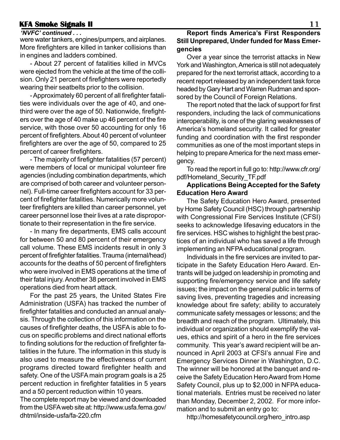#### **KFA Smoke Signals II KFA Smoke 11**

#### *'NVFC' continued . . .*

were water tankers, engines/pumpers, and airplanes. More firefighters are killed in tanker collisions than in engines and ladders combined.

- About 27 percent of fatalities killed in MVCs were ejected from the vehicle at the time of the collision. Only 21 percent of firefighters were reportedly wearing their seatbelts prior to the collision.

- Approximately 60 percent of all firefighter fatalities were individuals over the age of 40, and onethird were over the age of 50. Nationwide, firefighters over the age of 40 make up 46 percent of the fire service, with those over 50 accounting for only 16 percent of firefighters. About 40 percent of volunteer firefighters are over the age of 50, compared to 25 percent of career firefighters.

- The majority of firefighter fatalities (57 percent) were members of local or municipal volunteer fire agencies (including combination departments, which are comprised of both career and volunteer personnel). Full-time career firefighters account for 33 percent of firefighter fatalities. Numerically more volunteer firefighters are killed than career personnel, yet career personnel lose their lives at a rate disproportionate to their representation in the fire service.

- In many fire departments, EMS calls account for between 50 and 80 percent of their emergency call volume. These EMS incidents result in only 3 percent of firefighter fatalities. Trauma (internal/head) accounts for the deaths of 50 percent of firefighters who were involved in EMS operations at the time of their fatal injury. Another 38 percent involved in EMS operations died from heart attack.

For the past 25 years, the United States Fire Administration (USFA) has tracked the number of firefighter fatalities and conducted an annual analysis. Through the collection of this information on the causes of firefighter deaths, the USFA is able to focus on specific problems and direct national efforts to finding solutions for the reduction of firefighter fatalities in the future. The information in this study is also used to measure the effectiveness of current programs directed toward firefighter health and safety. One of the USFA main program goals is a 25 percent reduction in firefighter fatalities in 5 years and a 50 percent reduction within 10 years.

The complete report may be viewed and downloaded from the USFA web site at: http://www.usfa.fema.gov/ dhtml/inside-usfa/fa-220.cfm

#### **Report finds America's First Responders Still Unprepared, Under funded for Mass Emergencies**

Over a year since the terrorist attacks in New York and Washington, America is still not adequately prepared for the next terrorist attack, according to a recent report released by an independent task force headed by Gary Hart and Warren Rudman and sponsored by the Council of Foreign Relations.

The report noted that the lack of support for first responders, including the lack of communications interoperability, is one of the glaring weaknesses of America's homeland security. It called for greater funding and coordination with the first responder communities as one of the most important steps in helping to prepare America for the next mass emergency.

To read the report in full go to: http://www.cfr.org/ pdf/Homeland\_Security\_TF.pdf

#### **Applications Being Accepted for the Safety Education Hero Award**

The Safety Education Hero Award, presented by Home Safety Council (HSC) through partnership with Congressional Fire Services Institute (CFSI) seeks to acknowledge lifesaving educators in the fire services. HSC wishes to highlight the best practices of an individual who has saved a life through implementing an NFPA educational program.

Individuals in the fire services are invited to participate in the Safety Education Hero Award. Entrants will be judged on leadership in promoting and supporting fire/emergency service and life safety issues; the impact on the general public in terms of saving lives, preventing tragedies and increasing knowledge about fire safety; ability to accurately communicate safety messages or lessons; and the breadth and reach of the program. Ultimately, this individual or organization should exemplify the values, ethics and spirit of a hero in the fire services community. This year's award recipient will be announced in April 2003 at CFSI's annual Fire and Emergency Services Dinner in Washington, D.C. The winner will be honored at the banquet and receive the Safety Education Hero Award from Home Safety Council, plus up to \$2,000 in NFPA educational materials. Entries must be received no later than Monday, December 2, 2002. For more information and to submit an entry go to:

http://homesafetycouncil.org/hero\_intro.asp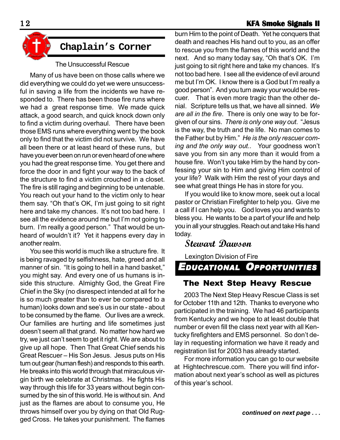#### **12 KFA Smoke Signals II**





The Unsuccessful Rescue

Many of us have been on those calls where we did everything we could do yet we were unsuccessful in saving a life from the incidents we have responded to. There has been those fire runs where we had a great response time. We made quick attack, a good search, and quick knock down only to find a victim during overhaul. There have been those EMS runs where everything went by the book only to find that the victim did not survive. We have all been there or at least heard of these runs, but have you ever been on run or even heard of one where you had the great response time. You get there and force the door in and fight your way to the back of the structure to find a victim crouched in a closet. The fire is still raging and beginning to be untenable. You reach out your hand to the victim only to hear them say. "Oh that's OK, I'm just going to sit right here and take my chances. It's not too bad here. I see all the evidence around me but I'm not going to burn. I'm really a good person." That would be unheard of wouldn't it? Yet it happens every day in another realm.

You see this world is much like a structure fire. It is being ravaged by selfishness, hate, greed and all manner of sin. "It is going to hell in a hand basket," you might say. And every one of us humans is inside this structure. Almighty God, the Great Fire Chief in the Sky (no disrespect intended at all for he is so much greater than to ever be compared to a human) looks down and see's us in our state - about to be consumed by the flame. Our lives are a wreck. Our families are hurting and life sometimes just doesn't seem all that grand. No matter how hard we try, we just can't seem to get it right. We are about to give up all hope. Then That Great Chief sends his Great Rescuer – His Son Jesus. Jesus puts on His turn out gear (human flesh) and responds to this earth. He breaks into this world through that miraculous virgin birth we celebrate at Christmas. He fights His way through this life for 33 years without begin consumed by the sin of this world. He is without sin. And just as the flames are about to consume you, He throws himself over you by dying on that Old Rugged Cross. He takes your punishment. The flames

burn Him to the point of Death. Yet he conquers that death and reaches His hand out to you, as an offer to rescue you from the flames of this world and the next. And so many today say, "Oh that's OK. I'm just going to sit right here and take my chances. It's not too bad here. I see all the evidence of evil around me but I'm OK. I know there is a God but I'm really a good person". And you turn away your would be rescuer. That is even more tragic than the other denial. Scripture tells us that, we have all sinned. *We are all in the fire*. There is only one way to be forgiven of our sins. *There is only one way out*. "Jesus is the way, the truth and the life. No man comes to the Father but by Him." *He is the only rescuer coming and the only way out..* Your goodness won't save you from sin any more than it would from a house fire. Won't you take Him by the hand by confessing your sin to Him and giving Him control of your life? Walk with Him the rest of your days and see what great things He has in store for you.

If you would like to know more, seek out a local pastor or Christian Firefighter to help you. Give me a call if I can help you. God loves you and wants to bless you. He wants to be a part of your life and help you in all your struggles. Reach out and take His hand today.

## **Stewart Dawson**

Lexington Division of Fire

*EDUCATIONAL OPPORTUNITIES*

#### The Next Step Heavy Rescue

2003 The Next Step Heavy Rescue Class is set for October 11th and 12th. Thanks to everyone who participated in the training. We had 46 participants from Kentucky and we hope to at least double that number or even fill the class next year with all Kentucky firefighters and EMS personnel. So don't delay in requesting information we have it ready and registration list for 2003 has already started.

For more information you can go to our website at Hightechrescue.com. There you will find information about next year's school as well as pictures of this year's school.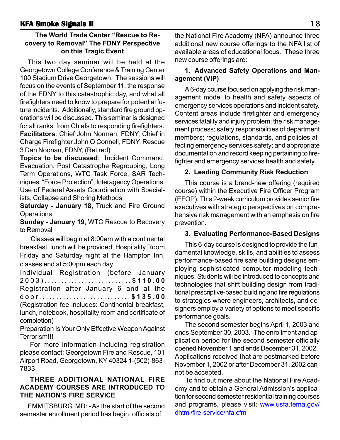#### **The World Trade Center "Rescue to Recovery to Removal" The FDNY Perspective on this Tragic Event**

This two day seminar will be held at the Georgetown College Conference & Training Center 100 Stadium Drive Georgetown. The sessions will focus on the events of September 11, the response of the FDNY to this catastrophic day, and what all firefighters need to know to prepare for potential future incidents. Additionally, standard fire ground operations will be discussed. This seminar is designed for all ranks, from Chiefs to responding firefighters. **Facilitators**: Chief John Norman, FDNY, Chief in Charge Firefighter John O Connell, FDNY, Rescue 3 Dan Noonan, FDNY, (Retired)

**Topics to be discussed**: Incident Command, Evacuation, Post Catastrophe Regrouping, Long Term Operations, WTC Task Force, SAR Techniques, "Force Protection", Interagency Operations, Use of Federal Assets Coordination with Specialists, Collapse and Shoring Methods,

**Saturday - January 18**, Truck and Fire Ground **Operations** 

**Sunday - January 19**, WTC Rescue to Recovery to Removal

Classes will begin at 8:00am with a continental breakfast, lunch will be provided, Hospitality Room Friday and Saturday night at the Hampton Inn, classes end at 5:00pm each day.

Individual Registration (before January 2003).......................... **\$110.00** Registration after January 6 and at the door........................... **\$135.00** (Registration fee includes: Continental breakfast,

lunch, notebook, hospitality room and certificate of completion)

Preparation Is Your Only Effective Weapon Against Terrorism!!!

For more information including registration please contact: Georgetown Fire and Rescue, 101 Airport Road, Georgetown, KY 40324 1-(502)-863- 7833

#### **THREE ADDITIONAL NATIONAL FIRE ACADEMY COURSES ARE INTRODUCED TO THE NATION'S FIRE SERVICE**

EMMITSBURG, MD: - As the start of the second semester enrollment period has begin, officials of

the National Fire Academy (NFA) announce three additional new course offerings to the NFA list of available areas of educational focus. These three new course offerings are:

#### **1. Advanced Safety Operations and Management (VIP)**

A 6-day course focused on applying the risk management model to health and safety aspects of emergency services operations and incident safety. Content areas include firefighter and emergency services fatality and injury problem; the risk management process; safety responsibilities of department members; regulations, standards, and policies affecting emergency services safety; and appropriate documentation and record keeping pertaining to firefighter and emergency services health and safety.

#### **2. Leading Community Risk Reduction**

This course is a brand-new offering (required course) within the Executive Fire Officer Program (EFOP). This 2-week curriculum provides senior fire executives with strategic perspectives on comprehensive risk management with an emphasis on fire prevention.

#### **3. Evaluating Performance-Based Designs**

This 6-day course is designed to provide the fundamental knowledge, skills, and abilities to assess performance-based fire safe building designs employing sophisticated computer modeling techniques. Students will be introduced to concepts and technologies that shift building design from traditional prescriptive-based building and fire regulations to strategies where engineers, architects, and designers employ a variety of options to meet specific performance goals.

The second semester begins April 1, 2003 and ends September 30, 2003. The enrollment and application period for the second semester officially opened November 1 and ends December 31, 2002. Applications received that are postmarked before November 1, 2002 or after December 31, 2002 cannot be accepted.

To find out more about the National Fire Academy and to obtain a General Admission's application for second semester residential training courses and programs, please visit: www.usfa.fema.gov/ dhtml/fire-service/nfa.cfm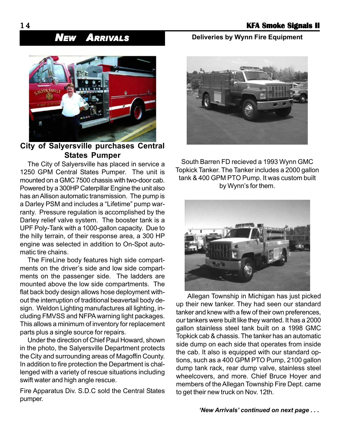## *NEW ARRIVALS*



### **City of Salyersville purchases Central States Pumper**

The City of Salyersville has placed in service a 1250 GPM Central States Pumper. The unit is mounted on a GMC 7500 chassis with two-door cab. Powered by a 300HP Caterpillar Engine the unit also has an Allison automatic transmission. The pump is a Darley PSM and includes a "Lifetime" pump warranty. Pressure regulation is accomplished by the Darley relief valve system. The booster tank is a UPF Poly-Tank with a 1000-gallon capacity. Due to the hilly terrain, of their response area, a 300 HP engine was selected in addition to On-Spot automatic tire chains.

The FireLine body features high side compartments on the driver's side and low side compartments on the passenger side. The ladders are mounted above the low side compartments. The flat back body design allows hose deployment without the interruption of traditional beavertail body design. Weldon Lighting manufactures all lighting, including FMVSS and NFPA warning light packages. This allows a minimum of inventory for replacement parts plus a single source for repairs.

Under the direction of Chief Paul Howard, shown in the photo, the Salyersville Department protects the City and surrounding areas of Magoffin County. In addition to fire protection the Department is challenged with a variety of rescue situations including swift water and high angle rescue.

Fire Apparatus Div. S.D.C sold the Central States pumper.

#### **Deliveries by Wynn Fire Equipment**



South Barren FD recieved a 1993 Wynn GMC Topkick Tanker. The Tanker includes a 2000 gallon tank & 400 GPM PTO Pump. It was custom built by Wynn's for them.



Allegan Township in Michigan has just picked up their new tanker. They had seen our standard tanker and knew with a few of their own preferences, our tankers were built like they wanted. It has a 2000 gallon stainless steel tank built on a 1998 GMC Topkick cab & chassis. The tanker has an automatic side dump on each side that operates from inside the cab. It also is equipped with our standard options, such as a 400 GPM PTO Pump, 2100 gallon dump tank rack, rear dump valve, stainless steel wheelcovers, and more. Chief Bruce Hoyer and members of the Allegan Township Fire Dept. came to get their new truck on Nov. 12th.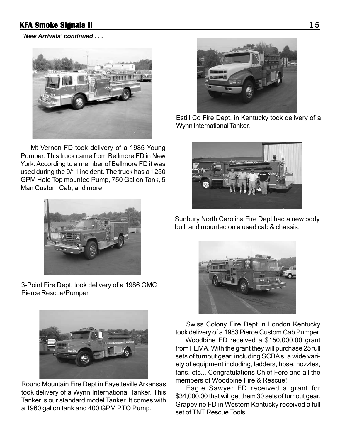*'New Arrivals' continued . . .*



Mt Vernon FD took delivery of a 1985 Young Pumper. This truck came from Bellmore FD in New York. According to a member of Bellmore FD it was used during the 9/11 incident. The truck has a 1250 GPM Hale Top mounted Pump, 750 Gallon Tank, 5 Man Custom Cab, and more.



3-Point Fire Dept. took delivery of a 1986 GMC Pierce Rescue/Pumper



Round Mountain Fire Dept in Fayetteville Arkansas took delivery of a Wynn International Tanker. This Tanker is our standard model Tanker. It comes with a 1960 gallon tank and 400 GPM PTO Pump.



Estill Co Fire Dept. in Kentucky took delivery of a Wynn International Tanker.



Sunbury North Carolina Fire Dept had a new body built and mounted on a used cab & chassis.



Swiss Colony Fire Dept in London Kentucky took delivery of a 1983 Pierce Custom Cab Pumper.

Woodbine FD received a \$150,000.00 grant from FEMA. With the grant they will purchase 25 full sets of turnout gear, including SCBA's, a wide variety of equipment including, ladders, hose, nozzles, fans, etc... Congratulations Chief Fore and all the members of Woodbine Fire & Rescue!

Eagle Sawyer FD received a grant for \$34,000.00 that will get them 30 sets of turnout gear. Grapevine FD in Western Kentucky received a full set of TNT Rescue Tools.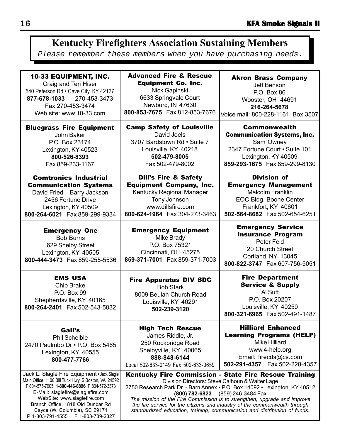## 10-33 EQUIPMENT, INC. **Kentucky Firefighters Association Sustaining Members** Please remember these members when you have purchasing needs.

| <b>10-33 EQUIPMENT, INC.</b>                                                                                           | <b>Advanced Fire &amp; Rescue</b>                                                                                                                   | <b>Akron Brass Company</b>                                                                                                                                         |
|------------------------------------------------------------------------------------------------------------------------|-----------------------------------------------------------------------------------------------------------------------------------------------------|--------------------------------------------------------------------------------------------------------------------------------------------------------------------|
| Craig and Teri Hiser                                                                                                   | <b>Equipment Co. Inc.</b>                                                                                                                           | Jeff Benson                                                                                                                                                        |
| 540 Peterson Rd · Cave City, KY 42127                                                                                  | Nick Gapinski                                                                                                                                       | P.O. Box 86                                                                                                                                                        |
| 877-678-1033 270-453-3473                                                                                              | 6633 Springvale Court                                                                                                                               | Wooster, OH 44691                                                                                                                                                  |
| Fax 270-453-3474                                                                                                       | Newburg, IN 47630                                                                                                                                   | 216-264-5678                                                                                                                                                       |
| Web site: www.10-33.com                                                                                                | 800-853-7675  Fax 812-853-7676                                                                                                                      | Voice mail: 800-228-1161 Box 3507                                                                                                                                  |
| <b>Bluegrass Fire Equipment</b>                                                                                        | <b>Camp Safety of Louisville</b>                                                                                                                    | <b>Commonwealth</b>                                                                                                                                                |
| John Baker                                                                                                             | David Joels                                                                                                                                         | <b>Communication Systems, Inc.</b>                                                                                                                                 |
| P.O. Box 23174                                                                                                         | 3707 Bardstown Rd . Suite 7                                                                                                                         | Sam Owney                                                                                                                                                          |
| Lexington, KY 40523                                                                                                    | Louisville, KY 40218                                                                                                                                | 2347 Fortune Court . Suite 101                                                                                                                                     |
| 800-526-8393                                                                                                           | 502-479-8005                                                                                                                                        | Lexington, KY 40509                                                                                                                                                |
| Fax 859-233-1167                                                                                                       | Fax 502-479-8002                                                                                                                                    | 859-293-1675 Fax 859-299-8130                                                                                                                                      |
| <b>Comtronics Industrial</b>                                                                                           | <b>Dill's Fire &amp; Safety</b>                                                                                                                     | <b>Division of</b>                                                                                                                                                 |
| <b>Communication Systems</b>                                                                                           | <b>Equipment Company, Inc.</b>                                                                                                                      | <b>Emergency Management</b>                                                                                                                                        |
| David Fried Barry Jackson                                                                                              | Kentucky Regional Manager                                                                                                                           | <b>Malcolm Franklin</b>                                                                                                                                            |
| 2456 Fortune Drive                                                                                                     | Tony Johnson                                                                                                                                        | EOC Bldg. Boone Center                                                                                                                                             |
| Lexington, KY 40509                                                                                                    | www.dillsfire.com                                                                                                                                   | Frankfort, KY 40601                                                                                                                                                |
| 800-264-6021  Fax 859-299-9334                                                                                         | 800-624-1964  Fax 304-273-3463                                                                                                                      | 502-564-8682  Fax 502-654-6251                                                                                                                                     |
| <b>Emergency One</b><br><b>Bob Burns</b><br>629 Shelby Street<br>Lexington, KY 40505<br>800-444-3473  Fax 859-255-5536 | <b>Emergency Equipment</b><br>Mike Brady<br>P.O. Box 75321<br>Cincinnati, OH 45275<br>859-371-7001 Fax 859-371-7003                                 | <b>Emergency Service</b><br><b>Insurance Program</b><br>Peter Feid<br>20 Church Street<br>Cortland, NY 13045<br>800-822-3747  Fax 607-756-5051                     |
| <b>EMS USA</b><br>Chip Brake<br>P.O. Box 99<br>Shepherdsville, KY 40165<br>800-264-2401  Fax 502-543-5032              | <b>Fire Apparatus DIV SDC</b><br><b>Bob Stark</b><br>8009 Beulah Church Road<br>Louisville, KY 40291<br>502-239-3120                                | <b>Fire Department</b><br><b>Service &amp; Supply</b><br>Al Sutt<br>P.O. Box 20207<br>Louisville, KY 40250<br>800-321-6965 Fax 502-491-1487                        |
| Gall's<br><b>Phil Scheible</b><br>2470 Paulmbo Dr . P.O. Box 5465<br>Lexington, KY 40555<br>800-477-7766               | <b>High Tech Rescue</b><br>James Riddle, Jr.<br>250 Rockbridge Road<br>Shelbyville, KY 40065<br>888-848-6144<br>Local 502-633-0149 Fax 502-633-0659 | <b>Hilliard Enhanced</b><br><b>Learning Programs (HELP)</b><br><b>Mike Hilliard</b><br>www.4-help.org<br>Email: firecds@cs.com<br>502-291-4357    Fax 502-228-4357 |
| Jack L. Slagle Fire Equipment · Jack Slagle                                                                            | Kentucky Fire Commission - State Fire Rescue Training                                                                                               |                                                                                                                                                                    |
| Main Office: 1100 Bill Tuck Hwy, S Boston, VA 24592                                                                    | Division Directors: Steve Calhoun & Walter Lage                                                                                                     |                                                                                                                                                                    |
| P804-575-7905 1-800-446-8896 F804-572-3373                                                                             | 2750 Research Park Dr. - Barn Annex · P.O. Box 14092 · Lexington, KY 40512                                                                          |                                                                                                                                                                    |
| E-Mail: slaglefire@slaglefire.com                                                                                      | (800) 782-6823 (859) 246-3484 Fax                                                                                                                   |                                                                                                                                                                    |
| WebSite: www.slaglefire.com                                                                                            | The mission of the Fire Commission is to strengthen, upgrade and improve                                                                            |                                                                                                                                                                    |
| Branch Office: 1818 Old Dunbar Rd                                                                                      | the fire service for the citizens and industry of the commonwealth through                                                                          |                                                                                                                                                                    |
| Cayce (W. Columbia), SC 29171                                                                                          | standardized education, training, communication and distribution of funds.                                                                          |                                                                                                                                                                    |

P 1-803-791-4555 F 1-803-739-2327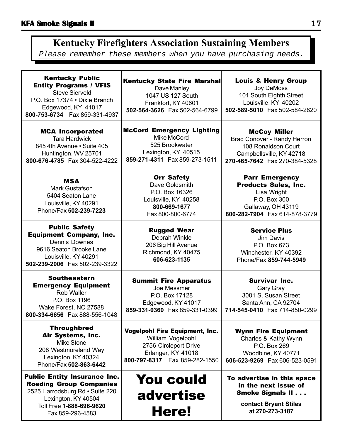## **Kentucky Firefighters Association Sustaining Members**

Please remember these members when you have purchasing needs.

| <b>Kentucky Public</b><br><b>Entity Programs / VFIS</b><br><b>Steve Sierveld</b><br>P.O. Box 17374 . Dixie Branch<br>Edgewood, KY 41017<br>800-753-6734    Fax 859-331-4937     | <b>Kentucky State Fire Marshall</b><br>Dave Manley<br>1047 US 127 South<br>Frankfort, KY 40601<br>502-564-3626 Fax 502-564-6799               | <b>Louis &amp; Henry Group</b><br>Joy DeMoss<br>101 South Eighth Street<br>Louisville, KY 40202<br>502-589-5010 Fax 502-584-2820           |
|---------------------------------------------------------------------------------------------------------------------------------------------------------------------------------|-----------------------------------------------------------------------------------------------------------------------------------------------|--------------------------------------------------------------------------------------------------------------------------------------------|
| <b>MCA Incorporated</b><br><b>Tara Hardwick</b><br>845 4th Avenue • Suite 405<br>Huntington, WV 25701<br>800-676-4785  Fax 304-522-4222                                         | <b>McCord Emergency Lighting</b><br>Mike McCord<br>525 Brookwater<br>Lexington, KY 40515<br>859-271-4311  Fax 859-273-1511                    | <b>McCoy Miller</b><br>Brad Conover - Randy Herron<br>108 Ronaldson Court<br>Campbellsville, KY 42718<br>270-465-7642  Fax 270-384-5328    |
| <b>MSA</b><br><b>Mark Gustafson</b><br>5404 Seaton Lane<br>Louisville, KY 40291<br>Phone/Fax 502-239-7223                                                                       | <b>Orr Safety</b><br>Dave Goldsmith<br>P.O. Box 16326<br>Louisville, KY 40258<br>800-669-1677<br>Fax 800-800-6774                             | <b>Parr Emergency</b><br><b>Products Sales, Inc.</b><br>Lisa Wright<br>P.O. Box 300<br>Gallaway, OH 43119<br>800-282-7904 Fax 614-878-3779 |
| <b>Public Safety</b><br><b>Equipment Company, Inc.</b><br><b>Dennis Downes</b><br>9616 Seaton Brooke Lane<br>Louisville, KY 40291<br>502-239-2006  Fax 502-239-3322             | <b>Rugged Wear</b><br>Debrah Winkle<br>206 Big Hill Avenue<br>Richmond, KY 40475<br>606-623-1135                                              | <b>Service Plus</b><br>Jim Davis<br>P.O. Box 673<br>Winchester, KY 40392<br>Phone/Fax 859-744-5949                                         |
| <b>Southeastern</b><br><b>Emergency Equipment</b><br>Rob Waller<br>P.O. Box 1196<br>Wake Forest, NC 27588<br>800-334-6656 Fax 888-556-1048                                      | <b>Summit Fire Apparatus</b><br>Joe Messmer<br>P.O. Box 17128<br>Edgewood, KY 41017<br>859-331-0360 Fax 859-331-0399                          | <b>Survivar Inc.</b><br>Gary Gray<br>3001 S. Susan Street<br>Santa Ann, CA 92704<br>714-545-0410  Fax 714-850-0299                         |
| <b>Throughbred</b><br>Air Systems, Inc.<br>Mike Stone<br>208 Westmoreland Way<br>Lexington, KY 40324<br>Phone/Fax 502-863-6442                                                  | <b>Vogelpohl Fire Equipment, Inc.</b><br>William Vogelpohl<br>2756 Circleport Drive<br>Erlanger, KY 41018<br>800-797-8317    Fax 859-282-1550 | <b>Wynn Fire Equipment</b><br>Charles & Kathy Wynn<br>P.O. Box 269<br>Woodbine, KY 40771<br>606-523-9269    Fax 606-523-0591               |
| <b>Public Entity Insurance Inc.</b><br><b>Roeding Group Companies</b><br>2525 Harrodsburg Rd · Suite 220<br>Lexington, KY 40504<br>Toll Free 1-888-696-9620<br>Fax 859-296-4583 | <b>You could</b><br>advertise<br>Here!                                                                                                        | To advertise in this space<br>in the next issue of<br><b>Smoke Signals II</b><br>contact Bryant Stiles<br>at 270-273-3187                  |